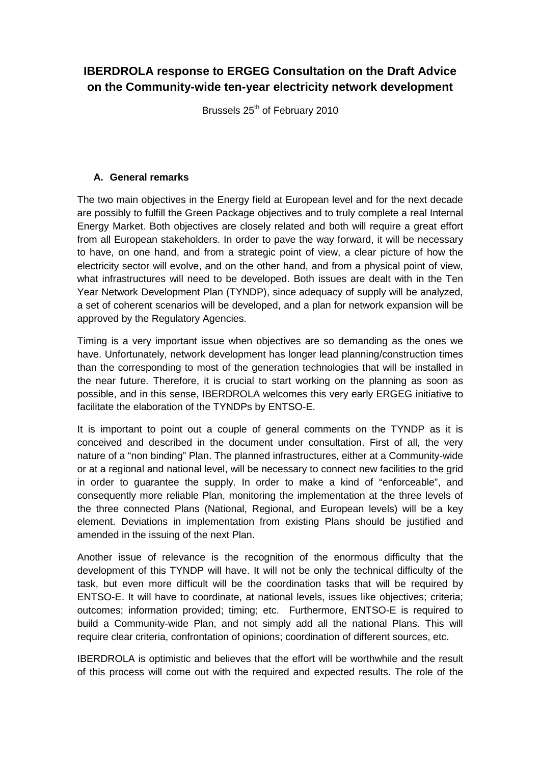## **IBERDROLA response to ERGEG Consultation on the Draft Advice on the Community-wide ten-year electricity network development**

Brussels 25<sup>th</sup> of February 2010

## **A. General remarks**

The two main objectives in the Energy field at European level and for the next decade are possibly to fulfill the Green Package objectives and to truly complete a real Internal Energy Market. Both objectives are closely related and both will require a great effort from all European stakeholders. In order to pave the way forward, it will be necessary to have, on one hand, and from a strategic point of view, a clear picture of how the electricity sector will evolve, and on the other hand, and from a physical point of view, what infrastructures will need to be developed. Both issues are dealt with in the Ten Year Network Development Plan (TYNDP), since adequacy of supply will be analyzed, a set of coherent scenarios will be developed, and a plan for network expansion will be approved by the Regulatory Agencies.

Timing is a very important issue when objectives are so demanding as the ones we have. Unfortunately, network development has longer lead planning/construction times than the corresponding to most of the generation technologies that will be installed in the near future. Therefore, it is crucial to start working on the planning as soon as possible, and in this sense, IBERDROLA welcomes this very early ERGEG initiative to facilitate the elaboration of the TYNDPs by ENTSO-E.

It is important to point out a couple of general comments on the TYNDP as it is conceived and described in the document under consultation. First of all, the very nature of a "non binding" Plan. The planned infrastructures, either at a Community-wide or at a regional and national level, will be necessary to connect new facilities to the grid in order to guarantee the supply. In order to make a kind of "enforceable", and consequently more reliable Plan, monitoring the implementation at the three levels of the three connected Plans (National, Regional, and European levels) will be a key element. Deviations in implementation from existing Plans should be justified and amended in the issuing of the next Plan.

Another issue of relevance is the recognition of the enormous difficulty that the development of this TYNDP will have. It will not be only the technical difficulty of the task, but even more difficult will be the coordination tasks that will be required by ENTSO-E. It will have to coordinate, at national levels, issues like objectives; criteria; outcomes; information provided; timing; etc. Furthermore, ENTSO-E is required to build a Community-wide Plan, and not simply add all the national Plans. This will require clear criteria, confrontation of opinions; coordination of different sources, etc.

IBERDROLA is optimistic and believes that the effort will be worthwhile and the result of this process will come out with the required and expected results. The role of the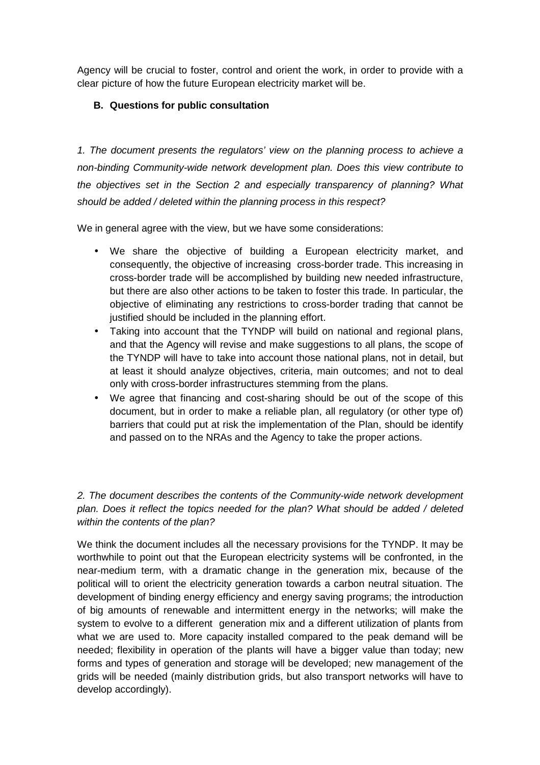Agency will be crucial to foster, control and orient the work, in order to provide with a clear picture of how the future European electricity market will be.

## **B. Questions for public consultation**

1. The document presents the regulators' view on the planning process to achieve a non-binding Community-wide network development plan. Does this view contribute to the objectives set in the Section 2 and especially transparency of planning? What should be added / deleted within the planning process in this respect?

We in general agree with the view, but we have some considerations:

- We share the objective of building a European electricity market, and consequently, the objective of increasing cross-border trade. This increasing in cross-border trade will be accomplished by building new needed infrastructure, but there are also other actions to be taken to foster this trade. In particular, the objective of eliminating any restrictions to cross-border trading that cannot be justified should be included in the planning effort.
- Taking into account that the TYNDP will build on national and regional plans, and that the Agency will revise and make suggestions to all plans, the scope of the TYNDP will have to take into account those national plans, not in detail, but at least it should analyze objectives, criteria, main outcomes; and not to deal only with cross-border infrastructures stemming from the plans.
- We agree that financing and cost-sharing should be out of the scope of this document, but in order to make a reliable plan, all regulatory (or other type of) barriers that could put at risk the implementation of the Plan, should be identify and passed on to the NRAs and the Agency to take the proper actions.

2. The document describes the contents of the Community-wide network development plan. Does it reflect the topics needed for the plan? What should be added / deleted within the contents of the plan?

We think the document includes all the necessary provisions for the TYNDP. It may be worthwhile to point out that the European electricity systems will be confronted, in the near-medium term, with a dramatic change in the generation mix, because of the political will to orient the electricity generation towards a carbon neutral situation. The development of binding energy efficiency and energy saving programs; the introduction of big amounts of renewable and intermittent energy in the networks; will make the system to evolve to a different generation mix and a different utilization of plants from what we are used to. More capacity installed compared to the peak demand will be needed; flexibility in operation of the plants will have a bigger value than today; new forms and types of generation and storage will be developed; new management of the grids will be needed (mainly distribution grids, but also transport networks will have to develop accordingly).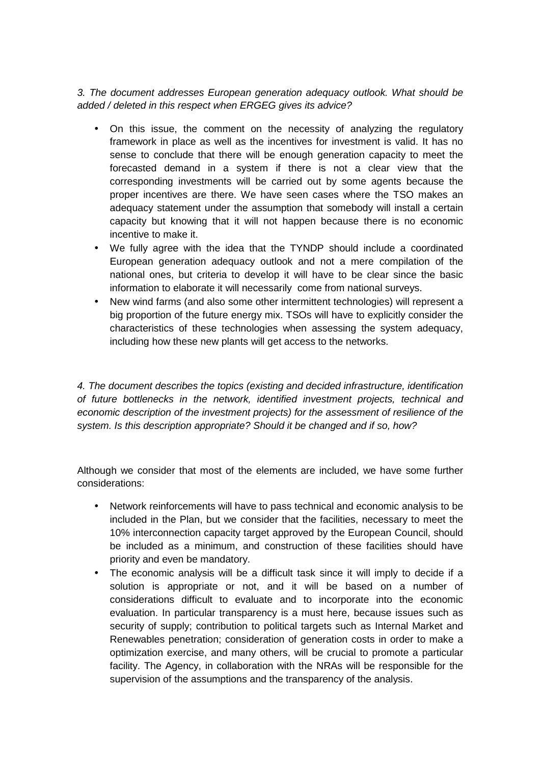3. The document addresses European generation adequacy outlook. What should be added / deleted in this respect when ERGEG gives its advice?

- On this issue, the comment on the necessity of analyzing the regulatory framework in place as well as the incentives for investment is valid. It has no sense to conclude that there will be enough generation capacity to meet the forecasted demand in a system if there is not a clear view that the corresponding investments will be carried out by some agents because the proper incentives are there. We have seen cases where the TSO makes an adequacy statement under the assumption that somebody will install a certain capacity but knowing that it will not happen because there is no economic incentive to make it.
- We fully agree with the idea that the TYNDP should include a coordinated European generation adequacy outlook and not a mere compilation of the national ones, but criteria to develop it will have to be clear since the basic information to elaborate it will necessarily come from national surveys.
- New wind farms (and also some other intermittent technologies) will represent a big proportion of the future energy mix. TSOs will have to explicitly consider the characteristics of these technologies when assessing the system adequacy, including how these new plants will get access to the networks.

4. The document describes the topics (existing and decided infrastructure, identification of future bottlenecks in the network, identified investment projects, technical and economic description of the investment projects) for the assessment of resilience of the system. Is this description appropriate? Should it be changed and if so, how?

Although we consider that most of the elements are included, we have some further considerations:

- Network reinforcements will have to pass technical and economic analysis to be included in the Plan, but we consider that the facilities, necessary to meet the 10% interconnection capacity target approved by the European Council, should be included as a minimum, and construction of these facilities should have priority and even be mandatory.
- The economic analysis will be a difficult task since it will imply to decide if a solution is appropriate or not, and it will be based on a number of considerations difficult to evaluate and to incorporate into the economic evaluation. In particular transparency is a must here, because issues such as security of supply; contribution to political targets such as Internal Market and Renewables penetration; consideration of generation costs in order to make a optimization exercise, and many others, will be crucial to promote a particular facility. The Agency, in collaboration with the NRAs will be responsible for the supervision of the assumptions and the transparency of the analysis.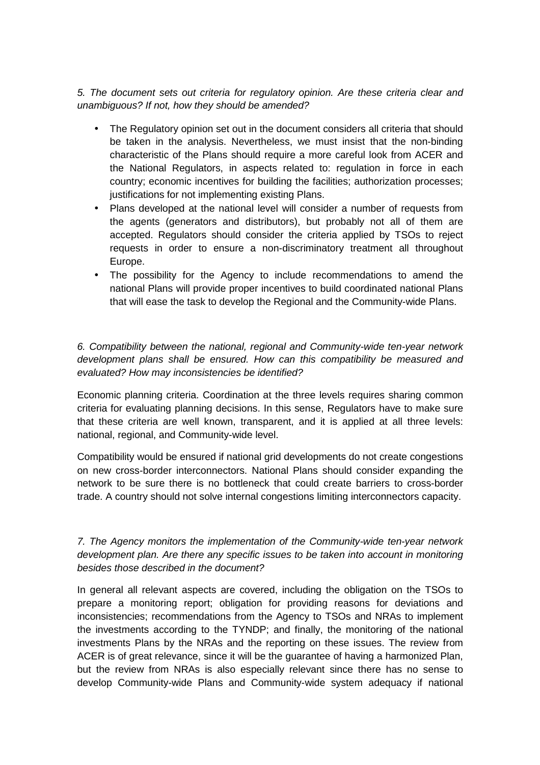5. The document sets out criteria for regulatory opinion. Are these criteria clear and unambiguous? If not, how they should be amended?

- The Regulatory opinion set out in the document considers all criteria that should be taken in the analysis. Nevertheless, we must insist that the non-binding characteristic of the Plans should require a more careful look from ACER and the National Regulators, in aspects related to: regulation in force in each country; economic incentives for building the facilities; authorization processes; justifications for not implementing existing Plans.
- Plans developed at the national level will consider a number of requests from the agents (generators and distributors), but probably not all of them are accepted. Regulators should consider the criteria applied by TSOs to reject requests in order to ensure a non-discriminatory treatment all throughout Europe.
- The possibility for the Agency to include recommendations to amend the national Plans will provide proper incentives to build coordinated national Plans that will ease the task to develop the Regional and the Community-wide Plans.

6. Compatibility between the national, regional and Community-wide ten-year network development plans shall be ensured. How can this compatibility be measured and evaluated? How may inconsistencies be identified?

Economic planning criteria. Coordination at the three levels requires sharing common criteria for evaluating planning decisions. In this sense, Regulators have to make sure that these criteria are well known, transparent, and it is applied at all three levels: national, regional, and Community-wide level.

Compatibility would be ensured if national grid developments do not create congestions on new cross-border interconnectors. National Plans should consider expanding the network to be sure there is no bottleneck that could create barriers to cross-border trade. A country should not solve internal congestions limiting interconnectors capacity.

## 7. The Agency monitors the implementation of the Community-wide ten-year network development plan. Are there any specific issues to be taken into account in monitoring besides those described in the document?

In general all relevant aspects are covered, including the obligation on the TSOs to prepare a monitoring report; obligation for providing reasons for deviations and inconsistencies; recommendations from the Agency to TSOs and NRAs to implement the investments according to the TYNDP; and finally, the monitoring of the national investments Plans by the NRAs and the reporting on these issues. The review from ACER is of great relevance, since it will be the guarantee of having a harmonized Plan, but the review from NRAs is also especially relevant since there has no sense to develop Community-wide Plans and Community-wide system adequacy if national